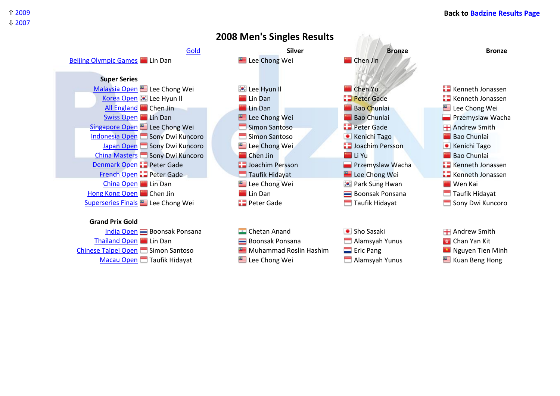